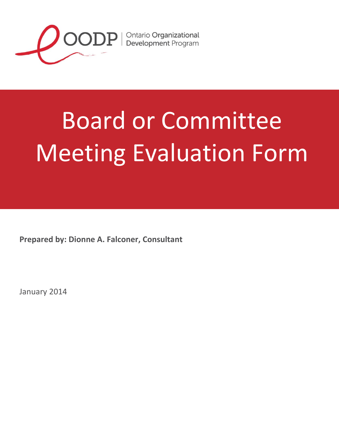

 $\text{OOPP}$  | Ontario Organizational

## Board or Committee Meeting Evaluation Form

**Prepared by: Dionne A. Falconer, Consultant**

January 2014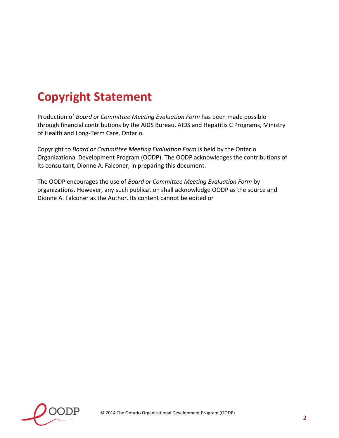## **Copyright Statement**

Production of *Board or Committee Meeting Evaluation Form* has been made possible through financial contributions by the AIDS Bureau, AIDS and Hepatitis C Programs, Ministry of Health and Long-Term Care, Ontario.

Copyright to *Board or Committee Meeting Evaluation Form* is held by the Ontario Organizational Development Program (OODP). The OODP acknowledges the contributions of its consultant, Dionne A. Falconer, in preparing this document.

The OODP encourages the use of *Board or Committee Meeting Evaluation Form* by organizations. However, any such publication shall acknowledge OODP as the source and Dionne A. Falconer as the Author. Its content cannot be edited or